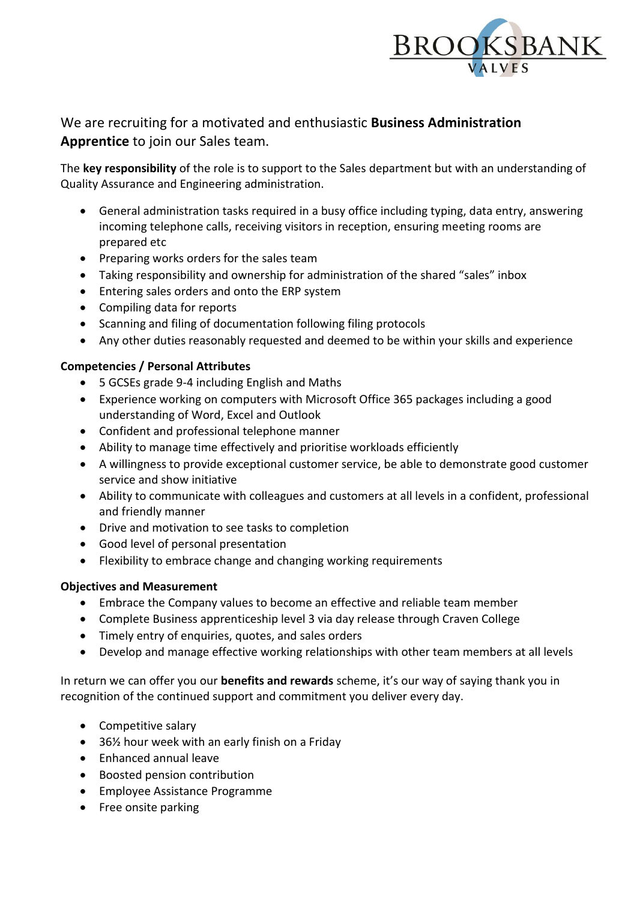

## We are recruiting for a motivated and enthusiastic **Business Administration Apprentice** to join our Sales team.

The **key responsibility** of the role is to support to the Sales department but with an understanding of Quality Assurance and Engineering administration.

- General administration tasks required in a busy office including typing, data entry, answering incoming telephone calls, receiving visitors in reception, ensuring meeting rooms are prepared etc
- Preparing works orders for the sales team
- Taking responsibility and ownership for administration of the shared "sales" inbox
- Entering sales orders and onto the ERP system
- Compiling data for reports
- Scanning and filing of documentation following filing protocols
- Any other duties reasonably requested and deemed to be within your skills and experience

## **Competencies / Personal Attributes**

- 5 GCSEs grade 9-4 including English and Maths
- Experience working on computers with Microsoft Office 365 packages including a good understanding of Word, Excel and Outlook
- Confident and professional telephone manner
- Ability to manage time effectively and prioritise workloads efficiently
- A willingness to provide exceptional customer service, be able to demonstrate good customer service and show initiative
- Ability to communicate with colleagues and customers at all levels in a confident, professional and friendly manner
- Drive and motivation to see tasks to completion
- Good level of personal presentation
- Flexibility to embrace change and changing working requirements

## **Objectives and Measurement**

- Embrace the Company values to become an effective and reliable team member
- Complete Business apprenticeship level 3 via day release through Craven College
- Timely entry of enquiries, quotes, and sales orders
- Develop and manage effective working relationships with other team members at all levels

In return we can offer you our **benefits and rewards** scheme, it's our way of saying thank you in recognition of the continued support and commitment you deliver every day.

- Competitive salary
- 36<sup>1</sup>/<sub>2</sub> hour week with an early finish on a Friday
- Enhanced annual leave
- Boosted pension contribution
- Employee Assistance Programme
- Free onsite parking